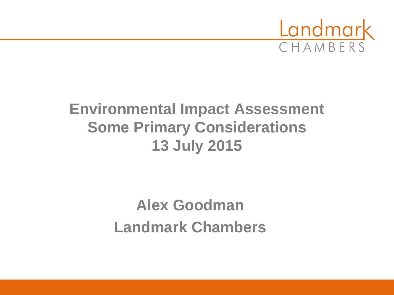

### **Environmental Impact Assessment Some Primary Considerations 13 July 2015**

## **Alex Goodman Landmark Chambers**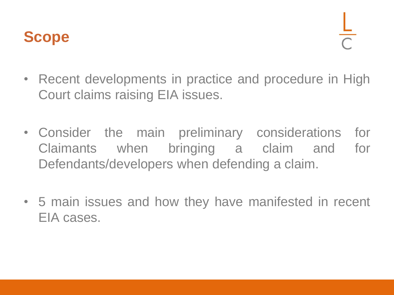### **Scope**

- Recent developments in practice and procedure in High Court claims raising EIA issues.
- Consider the main preliminary considerations for Claimants when bringing a claim and for Defendants/developers when defending a claim.
- 5 main issues and how they have manifested in recent EIA cases.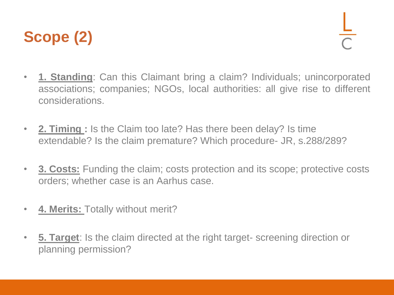## **Scope (2)**

- **1. Standing**: Can this Claimant bring a claim? Individuals; unincorporated associations; companies; NGOs, local authorities: all give rise to different considerations.
- **2. Timing :** Is the Claim too late? Has there been delay? Is time extendable? Is the claim premature? Which procedure- JR, s.288/289?
- **3. Costs:** Funding the claim; costs protection and its scope; protective costs orders; whether case is an Aarhus case.
- **4. Merits:** Totally without merit?
- **5. Target**: Is the claim directed at the right target- screening direction or planning permission?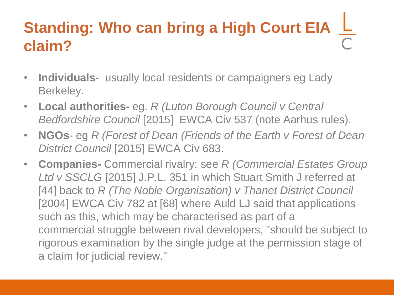# **Standing: Who can bring a High Court EIA claim?**

- **Individuals** usually local residents or campaigners eg Lady Berkeley.
- **Local authorities-** eg. *R (Luton Borough Council v Central Bedfordshire Council* [2015] EWCA Civ 537 (note Aarhus rules).
- **NGOs** eg *R (Forest of Dean (Friends of the Earth v Forest of Dean District Council* [2015] EWCA Civ 683.
- **Companies-** Commercial rivalry: see *R (Commercial Estates Group Ltd v SSCLG* [2015] J.P.L. 351 in which Stuart Smith J referred at [44] back to *R (The Noble Organisation) v Thanet District Council* [2004] EWCA Civ 782 at [68] where Auld LJ said that applications such as this, which may be characterised as part of a commercial struggle between rival developers, "should be subject to rigorous examination by the single judge at the permission stage of a claim for judicial review."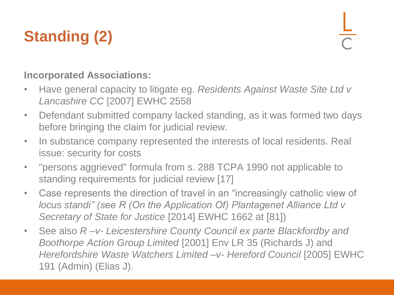# **Standing (2)**

### **Incorporated Associations:**

- Have general capacity to litigate eg. *Residents Against Waste Site Ltd v Lancashire CC* [2007] EWHC 2558
- Defendant submitted company lacked standing, as it was formed two days before bringing the claim for judicial review.
- In substance company represented the interests of local residents. Real issue: security for costs
- "persons aggrieved" formula from s. 288 TCPA 1990 not applicable to standing requirements for judicial review [17]
- Case represents the direction of travel in an "increasingly catholic view of *locus standi" (see R (On the Application Of) Plantagenet Alliance Ltd v Secretary of State for Justice* [2014] EWHC 1662 at [81])
- See also *R –v- Leicestershire County Council ex parte Blackfordby and Boothorpe Action Group Limited* [2001] Env LR 35 (Richards J) and *Herefordshire Waste Watchers Limited –v- Hereford Council* [2005] EWHC 191 (Admin) (Elias J).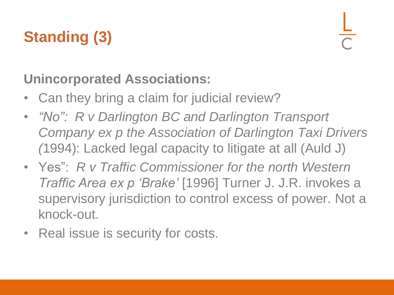# **Standing (3)**

### **Unincorporated Associations:**

- Can they bring a claim for judicial review?
- *"No": R v Darlington BC and Darlington Transport Company ex p the Association of Darlington Taxi Drivers (*1994): Lacked legal capacity to litigate at all (Auld J)
- Yes": *R v Traffic Commissioner for the north Western Traffic Area ex p 'Brake'* [1996] Turner J. J.R. invokes a supervisory jurisdiction to control excess of power. Not a knock-out.
- Real issue is security for costs.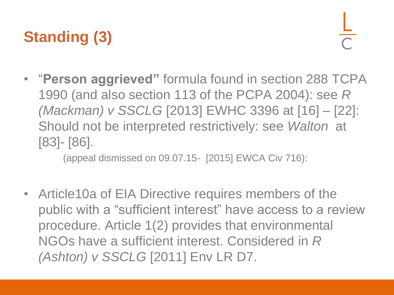# **Standing (3)**

• "**Person aggrieved"** formula found in section 288 TCPA 1990 (and also section 113 of the PCPA 2004): see *R (Mackman) v SSCLG* [2013] EWHC 3396 at [16] – [22]: Should not be interpreted restrictively: see *Walton* at [83]- [86].

(appeal dismissed on 09.07.15- [2015] EWCA Civ 716):

• Article10a of EIA Directive requires members of the public with a "sufficient interest" have access to a review procedure. Article 1(2) provides that environmental NGOs have a sufficient interest. Considered in *R (Ashton) v SSCLG* [2011] Env LR D7.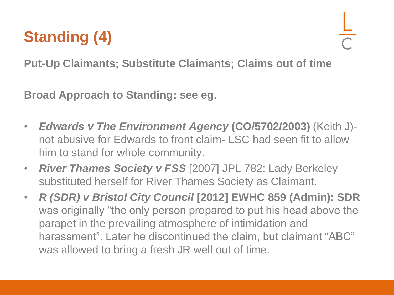# **Standing (4)**

**Put-Up Claimants; Substitute Claimants; Claims out of time**

**Broad Approach to Standing: see eg.** 

- *Edwards v The Environment Agency* **(CO/5702/2003)** (Keith J) not abusive for Edwards to front claim- LSC had seen fit to allow him to stand for whole community.
- *River Thames Society v FSS* [2007] JPL 782: Lady Berkeley substituted herself for River Thames Society as Claimant.
- *R (SDR) v Bristol City Council* **[2012] EWHC 859 (Admin): SDR** was originally "the only person prepared to put his head above the parapet in the prevailing atmosphere of intimidation and harassment". Later he discontinued the claim, but claimant "ABC" was allowed to bring a fresh JR well out of time.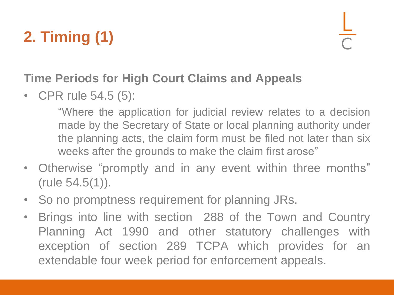# **2. Timing (1)**

### **Time Periods for High Court Claims and Appeals**

• CPR rule 54.5 (5):

"Where the application for judicial review relates to a decision made by the Secretary of State or local planning authority under the planning acts, the claim form must be filed not later than six weeks after the grounds to make the claim first arose"

- Otherwise "promptly and in any event within three months" (rule 54.5(1)).
- So no promptness requirement for planning JRs.
- Brings into line with section 288 of the Town and Country Planning Act 1990 and other statutory challenges with exception of section 289 TCPA which provides for an extendable four week period for enforcement appeals.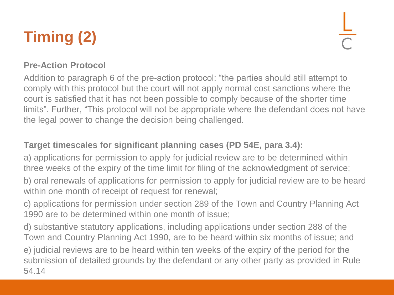# **Timing (2)**

#### **Pre-Action Protocol**

Addition to paragraph 6 of the pre-action protocol: "the parties should still attempt to comply with this protocol but the court will not apply normal cost sanctions where the court is satisfied that it has not been possible to comply because of the shorter time limits". Further, "This protocol will not be appropriate where the defendant does not have the legal power to change the decision being challenged.

#### **Target timescales for significant planning cases (PD 54E, para 3.4):**

a) applications for permission to apply for judicial review are to be determined within three weeks of the expiry of the time limit for filing of the acknowledgment of service;

b) oral renewals of applications for permission to apply for judicial review are to be heard within one month of receipt of request for renewal;

c) applications for permission under section 289 of the Town and Country Planning Act 1990 are to be determined within one month of issue;

d) substantive statutory applications, including applications under section 288 of the Town and Country Planning Act 1990, are to be heard within six months of issue; and e) judicial reviews are to be heard within ten weeks of the expiry of the period for the submission of detailed grounds by the defendant or any other party as provided in Rule 54.14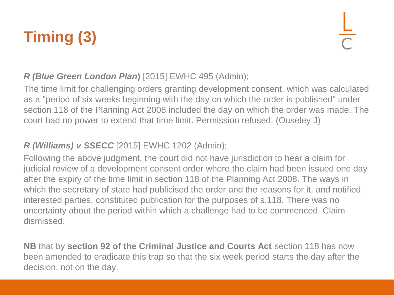# **Timing (3)**

#### *R (Blue Green London Plan***)** [2015] EWHC 495 (Admin);

The time limit for challenging orders granting development consent, which was calculated as a "period of six weeks beginning with the day on which the order is published" under section 118 of the Planning Act 2008 included the day on which the order was made. The court had no power to extend that time limit. Permission refused. (Ouseley J)

#### *R (Williams) v SSECC* [2015] EWHC 1202 (Admin);

Following the above judgment, the court did not have jurisdiction to hear a claim for judicial review of a development consent order where the claim had been issued one day after the expiry of the time limit in section 118 of the Planning Act 2008. The ways in which the secretary of state had publicised the order and the reasons for it, and notified interested parties, constituted publication for the purposes of s.118. There was no uncertainty about the period within which a challenge had to be commenced. Claim dismissed.

**NB** that by **section 92 of the Criminal Justice and Courts Act** section 118 has now been amended to eradicate this trap so that the six week period starts the day after the decision, not on the day.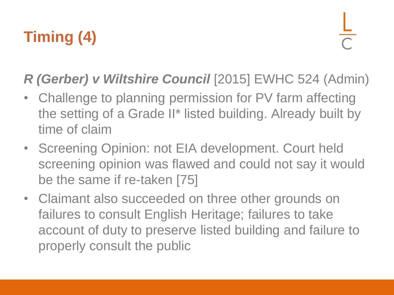# **Timing (4)**

### *R (Gerber) v Wiltshire Council* [2015] EWHC 524 (Admin)

- Challenge to planning permission for PV farm affecting the setting of a Grade II\* listed building. Already built by time of claim
- Screening Opinion: not EIA development. Court held screening opinion was flawed and could not say it would be the same if re-taken [75]
- Claimant also succeeded on three other grounds on failures to consult English Heritage; failures to take account of duty to preserve listed building and failure to properly consult the public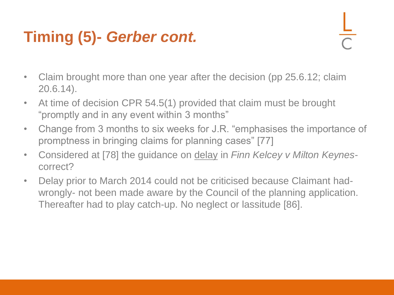## **Timing (5)-** *Gerber cont.*

- 
- Claim brought more than one year after the decision (pp 25.6.12; claim 20.6.14).
- At time of decision CPR 54.5(1) provided that claim must be brought "promptly and in any event within 3 months"
- Change from 3 months to six weeks for J.R. "emphasises the importance of promptness in bringing claims for planning cases" [77]
- Considered at [78] the guidance on delay in *Finn Kelcey v Milton Keynes*correct?
- Delay prior to March 2014 could not be criticised because Claimant hadwrongly- not been made aware by the Council of the planning application. Thereafter had to play catch-up. No neglect or lassitude [86].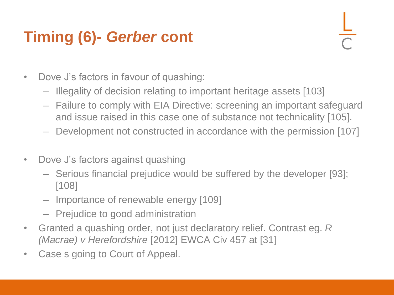## **Timing (6)-** *Gerber* **cont**

- Dove J's factors in favour of quashing:
	- Illegality of decision relating to important heritage assets [103]
	- Failure to comply with EIA Directive: screening an important safeguard and issue raised in this case one of substance not technicality [105].
	- Development not constructed in accordance with the permission [107]
- Dove J's factors against quashing
	- Serious financial prejudice would be suffered by the developer [93]; [108]
	- Importance of renewable energy [109]
	- Prejudice to good administration
- Granted a quashing order, not just declaratory relief. Contrast eg. *R (Macrae) v Herefordshire* [2012] EWCA Civ 457 at [31]
- Case s going to Court of Appeal.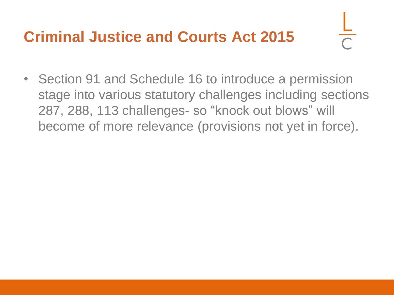### **Criminal Justice and Courts Act 2015**

• Section 91 and Schedule 16 to introduce a permission stage into various statutory challenges including sections 287, 288, 113 challenges- so "knock out blows" will become of more relevance (provisions not yet in force).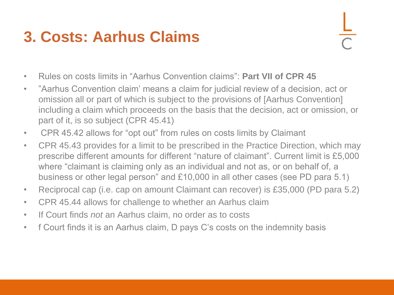### **3. Costs: Aarhus Claims**

- Rules on costs limits in "Aarhus Convention claims": **Part VII of CPR 45**
- "Aarhus Convention claim' means a claim for judicial review of a decision, act or omission all or part of which is subject to the provisions of [Aarhus Convention] including a claim which proceeds on the basis that the decision, act or omission, or part of it, is so subject (CPR 45.41)
- CPR 45.42 allows for "opt out" from rules on costs limits by Claimant
- CPR 45.43 provides for a limit to be prescribed in the Practice Direction, which may prescribe different amounts for different "nature of claimant". Current limit is £5,000 where "claimant is claiming only as an individual and not as, or on behalf of, a business or other legal person" and £10,000 in all other cases (see PD para 5.1)
- Reciprocal cap (i.e. cap on amount Claimant can recover) is £35,000 (PD para 5.2)
- CPR 45.44 allows for challenge to whether an Aarhus claim
- If Court finds *not* an Aarhus claim, no order as to costs
- f Court finds it is an Aarhus claim, D pays C's costs on the indemnity basis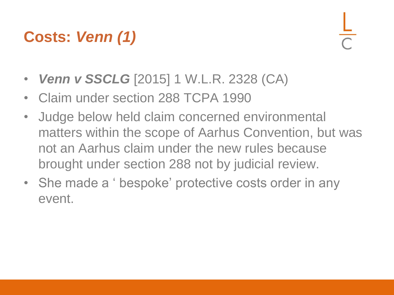## **Costs:** *Venn (1)*

- *Venn v SSCLG* [2015] 1 W.L.R. 2328 (CA)
- Claim under section 288 TCPA 1990
- Judge below held claim concerned environmental matters within the scope of Aarhus Convention, but was not an Aarhus claim under the new rules because brought under section 288 not by judicial review.
- She made a ' bespoke' protective costs order in any event.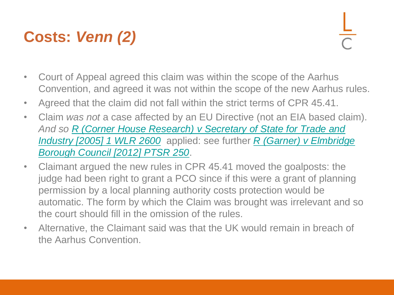## **Costs:** *Venn (2)*

- Court of Appeal agreed this claim was within the scope of the Aarhus Convention, and agreed it was not within the scope of the new Aarhus rules.
- Agreed that the claim did not fall within the strict terms of CPR 45.41.
- Claim *was not* a case affected by an EU Directive (not an EIA based claim). *And so [R \(Corner House Research\) v Secretary of State for Trade and](http://login.westlaw.co.uk/maf/wluk/app/document?src=doc&linktype=ref&context=12&crumb-action=replace&docguid=I78E8FA10E42811DA8FC2A0F0355337E9)  [Industry \[2005\] 1 WLR 2600](http://login.westlaw.co.uk/maf/wluk/app/document?src=doc&linktype=ref&context=12&crumb-action=replace&docguid=I78E8FA10E42811DA8FC2A0F0355337E9)* applied: see further *[R \(Garner\) v Elmbridge](http://login.westlaw.co.uk/maf/wluk/app/document?src=doc&linktype=ref&context=12&crumb-action=replace&docguid=IAA5EADD0BB9F11DFB6A7C6B46B6E8F2B)  [Borough Council \[2012\] PTSR 250](http://login.westlaw.co.uk/maf/wluk/app/document?src=doc&linktype=ref&context=12&crumb-action=replace&docguid=IAA5EADD0BB9F11DFB6A7C6B46B6E8F2B)*.
- Claimant argued the new rules in CPR 45.41 moved the goalposts: the judge had been right to grant a PCO since if this were a grant of planning permission by a local planning authority costs protection would be automatic. The form by which the Claim was brought was irrelevant and so the court should fill in the omission of the rules.
- Alternative, the Claimant said was that the UK would remain in breach of the Aarhus Convention.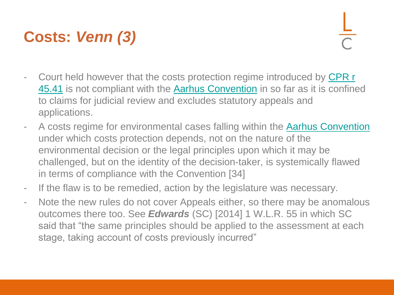## **Costs:** *Venn (3)*

- Court held however that the costs protection regime introduced by CPR r [45.41](http://login.westlaw.co.uk/maf/wluk/app/document?src=doc&linktype=ref&context=12&crumb-action=replace&docguid=I42FEE420A9C011DFAFD3883483C84CE7) is not compliant with the [Aarhus Convention](http://login.westlaw.co.uk/maf/wluk/app/document?src=doc&linktype=ref&context=12&crumb-action=replace&docguid=IFFE1BBC09CDF11E293E9DC531264223C) in so far as it is confined to claims for judicial review and excludes statutory appeals and applications.
- A costs regime for environmental cases falling within the [Aarhus Convention](http://login.westlaw.co.uk/maf/wluk/app/document?src=doc&linktype=ref&context=12&crumb-action=replace&docguid=IFFE1BBC09CDF11E293E9DC531264223C) under which costs protection depends, not on the nature of the environmental decision or the legal principles upon which it may be challenged, but on the identity of the decision-taker, is systemically flawed in terms of compliance with the Convention [34]
- If the flaw is to be remedied, action by the legislature was necessary.
- Note the new rules do not cover Appeals either, so there may be anomalous outcomes there too. See *Edwards* (SC) [2014] 1 W.L.R. 55 in which SC said that "the same principles should be applied to the assessment at each stage, taking account of costs previously incurred"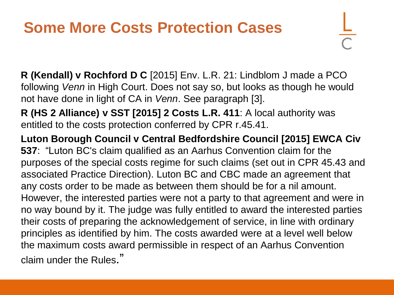### **Some More Costs Protection Cases**

**R (Kendall) v Rochford D C** [2015] Env. L.R. 21: Lindblom J made a PCO following *Venn* in High Court. Does not say so, but looks as though he would not have done in light of CA in *Venn*. See paragraph [3].

**R (HS 2 Alliance) v SST [2015] 2 Costs L.R. 411**: A local authority was entitled to the costs protection conferred by CPR r.45.41.

**Luton Borough Council v Central Bedfordshire Council [2015] EWCA Civ 537**: "Luton BC's claim qualified as an Aarhus Convention claim for the purposes of the special costs regime for such claims (set out in CPR 45.43 and associated Practice Direction). Luton BC and CBC made an agreement that any costs order to be made as between them should be for a nil amount. However, the interested parties were not a party to that agreement and were in no way bound by it. The judge was fully entitled to award the interested parties their costs of preparing the acknowledgement of service, in line with ordinary principles as identified by him. The costs awarded were at a level well below the maximum costs award permissible in respect of an Aarhus Convention claim under the Rules."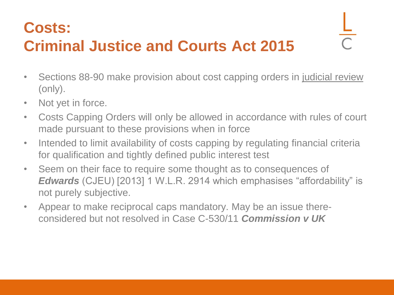### **Costs:**

# **Criminal Justice and Courts Act 2015**

- Sections 88-90 make provision about cost capping orders in judicial review (only).
- Not yet in force.
- Costs Capping Orders will only be allowed in accordance with rules of court made pursuant to these provisions when in force
- Intended to limit availability of costs capping by regulating financial criteria for qualification and tightly defined public interest test
- Seem on their face to require some thought as to consequences of *Edwards* (CJEU) [2013] 1 W.L.R. 2914 which emphasises "affordability" is not purely subjective.
- Appear to make reciprocal caps mandatory. May be an issue thereconsidered but not resolved in Case C-530/11 *Commission v UK*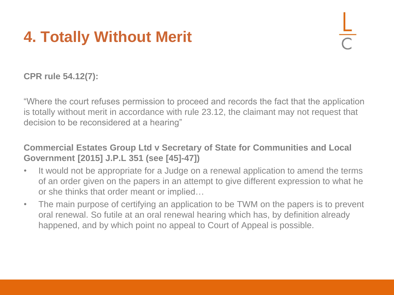## **4. Totally Without Merit**

**CPR rule 54.12(7):** 

"Where the court refuses permission to proceed and records the fact that the application is totally without merit in accordance with rule 23.12, the claimant may not request that decision to be reconsidered at a hearing"

#### **Commercial Estates Group Ltd v Secretary of State for Communities and Local Government [2015] J.P.L 351 (see [45]-47])**

- It would not be appropriate for a Judge on a renewal application to amend the terms of an order given on the papers in an attempt to give different expression to what he or she thinks that order meant or implied…
- The main purpose of certifying an application to be TWM on the papers is to prevent oral renewal. So futile at an oral renewal hearing which has, by definition already happened, and by which point no appeal to Court of Appeal is possible.